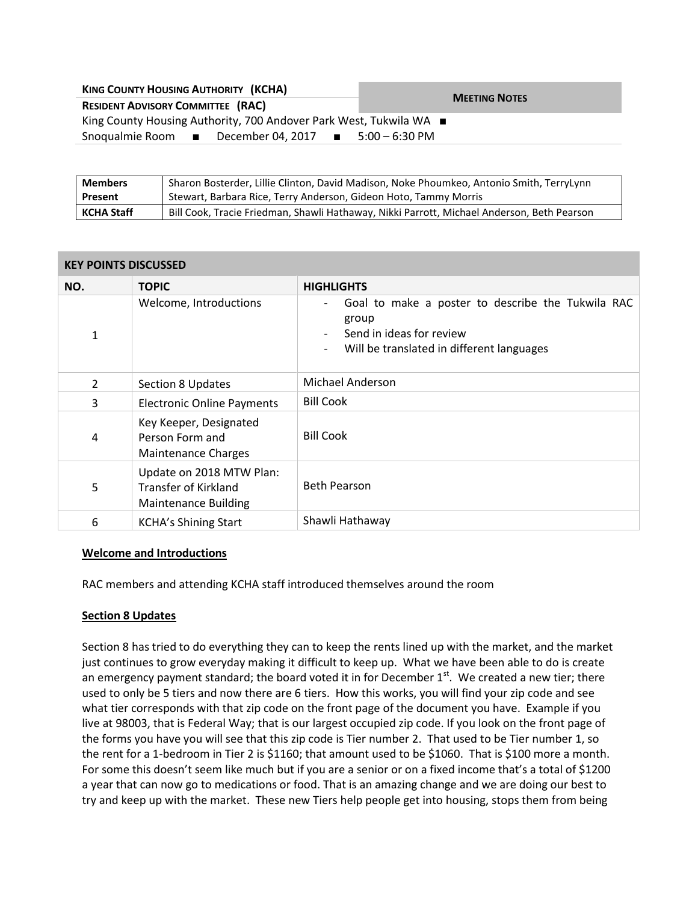| <b>KING COUNTY HOUSING AUTHORITY (KCHA)</b>                        | <b>MEETING NOTES</b> |  |  |
|--------------------------------------------------------------------|----------------------|--|--|
| <b>RESIDENT ADVISORY COMMITTEE (RAC)</b>                           |                      |  |  |
| King County Housing Authority, 700 Andover Park West, Tukwila WA ■ |                      |  |  |
| December 04, 2017 ■ 5:00 – 6:30 PM<br>Snoqualmie Room ■            |                      |  |  |

| <b>Members</b>    | Sharon Bosterder, Lillie Clinton, David Madison, Noke Phoumkeo, Antonio Smith, TerryLynn   |  |
|-------------------|--------------------------------------------------------------------------------------------|--|
| Present           | Stewart, Barbara Rice, Terry Anderson, Gideon Hoto, Tammy Morris                           |  |
| <b>KCHA Staff</b> | Bill Cook, Tracie Friedman, Shawli Hathaway, Nikki Parrott, Michael Anderson, Beth Pearson |  |

### **KEY POINTS DISCUSSED**

| NO.            | <b>TOPIC</b>                                                                           | <b>HIGHLIGHTS</b>                                                                                                                                                                           |
|----------------|----------------------------------------------------------------------------------------|---------------------------------------------------------------------------------------------------------------------------------------------------------------------------------------------|
| 1              | Welcome, Introductions                                                                 | Goal to make a poster to describe the Tukwila RAC<br>$\overline{\phantom{a}}$<br>group<br>Send in ideas for review<br>Will be translated in different languages<br>$\overline{\phantom{a}}$ |
| $\overline{2}$ | <b>Section 8 Updates</b>                                                               | Michael Anderson                                                                                                                                                                            |
| 3              | <b>Electronic Online Payments</b>                                                      | <b>Bill Cook</b>                                                                                                                                                                            |
| 4              | Key Keeper, Designated<br>Person Form and<br><b>Maintenance Charges</b>                | <b>Bill Cook</b>                                                                                                                                                                            |
| 5              | Update on 2018 MTW Plan:<br><b>Transfer of Kirkland</b><br><b>Maintenance Building</b> | <b>Beth Pearson</b>                                                                                                                                                                         |
| 6              | <b>KCHA's Shining Start</b>                                                            | Shawli Hathaway                                                                                                                                                                             |

## **Welcome and Introductions**

RAC members and attending KCHA staff introduced themselves around the room

## **Section 8 Updates**

Section 8 has tried to do everything they can to keep the rents lined up with the market, and the market just continues to grow everyday making it difficult to keep up. What we have been able to do is create an emergency payment standard; the board voted it in for December  $1<sup>st</sup>$ . We created a new tier; there used to only be 5 tiers and now there are 6 tiers. How this works, you will find your zip code and see what tier corresponds with that zip code on the front page of the document you have. Example if you live at 98003, that is Federal Way; that is our largest occupied zip code. If you look on the front page of the forms you have you will see that this zip code is Tier number 2. That used to be Tier number 1, so the rent for a 1-bedroom in Tier 2 is \$1160; that amount used to be \$1060. That is \$100 more a month. For some this doesn't seem like much but if you are a senior or on a fixed income that's a total of \$1200 a year that can now go to medications or food. That is an amazing change and we are doing our best to try and keep up with the market. These new Tiers help people get into housing, stops them from being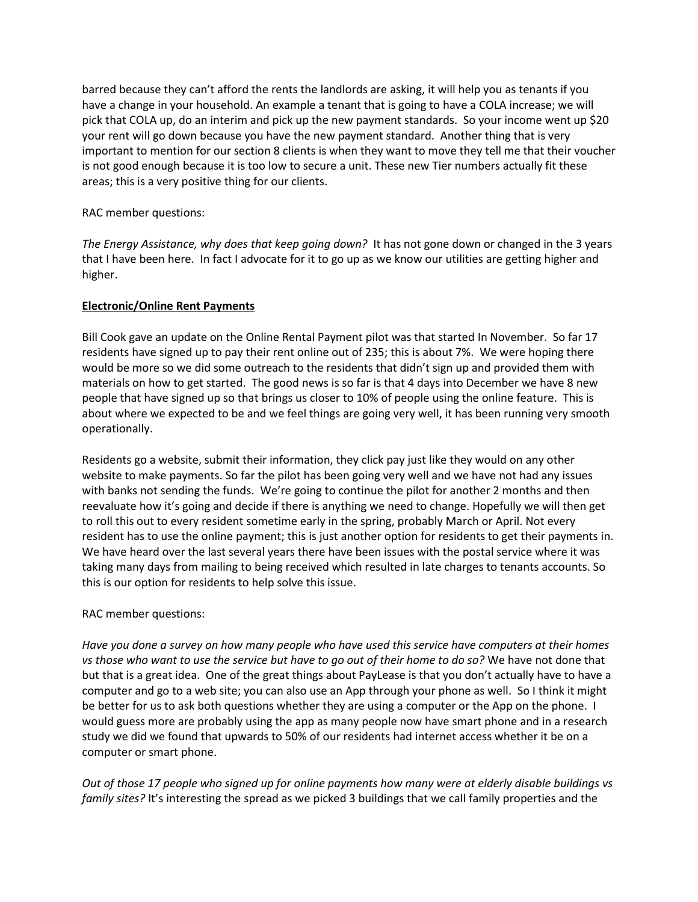barred because they can't afford the rents the landlords are asking, it will help you as tenants if you have a change in your household. An example a tenant that is going to have a COLA increase; we will pick that COLA up, do an interim and pick up the new payment standards. So your income went up \$20 your rent will go down because you have the new payment standard. Another thing that is very important to mention for our section 8 clients is when they want to move they tell me that their voucher is not good enough because it is too low to secure a unit. These new Tier numbers actually fit these areas; this is a very positive thing for our clients.

# RAC member questions:

*The Energy Assistance, why does that keep going down?* It has not gone down or changed in the 3 years that I have been here. In fact I advocate for it to go up as we know our utilities are getting higher and higher.

## **Electronic/Online Rent Payments**

Bill Cook gave an update on the Online Rental Payment pilot was that started In November. So far 17 residents have signed up to pay their rent online out of 235; this is about 7%. We were hoping there would be more so we did some outreach to the residents that didn't sign up and provided them with materials on how to get started. The good news is so far is that 4 days into December we have 8 new people that have signed up so that brings us closer to 10% of people using the online feature. This is about where we expected to be and we feel things are going very well, it has been running very smooth operationally.

Residents go a website, submit their information, they click pay just like they would on any other website to make payments. So far the pilot has been going very well and we have not had any issues with banks not sending the funds. We're going to continue the pilot for another 2 months and then reevaluate how it's going and decide if there is anything we need to change. Hopefully we will then get to roll this out to every resident sometime early in the spring, probably March or April. Not every resident has to use the online payment; this is just another option for residents to get their payments in. We have heard over the last several years there have been issues with the postal service where it was taking many days from mailing to being received which resulted in late charges to tenants accounts. So this is our option for residents to help solve this issue.

## RAC member questions:

*Have you done a survey on how many people who have used this service have computers at their homes vs those who want to use the service but have to go out of their home to do so?* We have not done that but that is a great idea. One of the great things about PayLease is that you don't actually have to have a computer and go to a web site; you can also use an App through your phone as well. So I think it might be better for us to ask both questions whether they are using a computer or the App on the phone. I would guess more are probably using the app as many people now have smart phone and in a research study we did we found that upwards to 50% of our residents had internet access whether it be on a computer or smart phone.

*Out of those 17 people who signed up for online payments how many were at elderly disable buildings vs family sites?* It's interesting the spread as we picked 3 buildings that we call family properties and the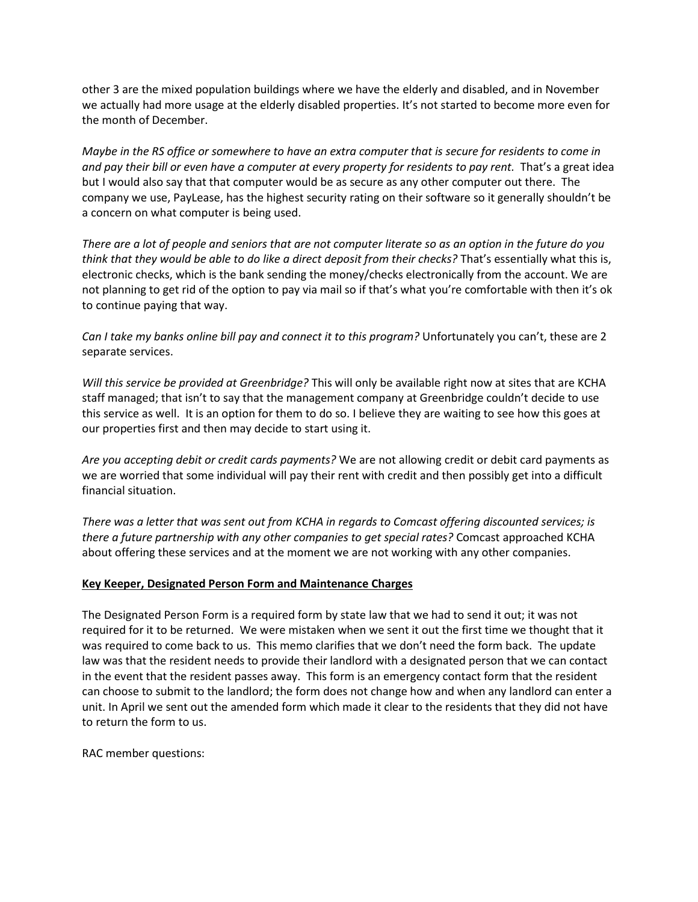other 3 are the mixed population buildings where we have the elderly and disabled, and in November we actually had more usage at the elderly disabled properties. It's not started to become more even for the month of December.

*Maybe in the RS office or somewhere to have an extra computer that is secure for residents to come in and pay their bill or even have a computer at every property for residents to pay rent.* That's a great idea but I would also say that that computer would be as secure as any other computer out there. The company we use, PayLease, has the highest security rating on their software so it generally shouldn't be a concern on what computer is being used.

*There are a lot of people and seniors that are not computer literate so as an option in the future do you think that they would be able to do like a direct deposit from their checks?* That's essentially what this is, electronic checks, which is the bank sending the money/checks electronically from the account. We are not planning to get rid of the option to pay via mail so if that's what you're comfortable with then it's ok to continue paying that way.

*Can I take my banks online bill pay and connect it to this program?* Unfortunately you can't, these are 2 separate services.

*Will this service be provided at Greenbridge?* This will only be available right now at sites that are KCHA staff managed; that isn't to say that the management company at Greenbridge couldn't decide to use this service as well. It is an option for them to do so. I believe they are waiting to see how this goes at our properties first and then may decide to start using it.

*Are you accepting debit or credit cards payments?* We are not allowing credit or debit card payments as we are worried that some individual will pay their rent with credit and then possibly get into a difficult financial situation.

*There was a letter that was sent out from KCHA in regards to Comcast offering discounted services; is there a future partnership with any other companies to get special rates?* Comcast approached KCHA about offering these services and at the moment we are not working with any other companies.

## **Key Keeper, Designated Person Form and Maintenance Charges**

The Designated Person Form is a required form by state law that we had to send it out; it was not required for it to be returned. We were mistaken when we sent it out the first time we thought that it was required to come back to us. This memo clarifies that we don't need the form back. The update law was that the resident needs to provide their landlord with a designated person that we can contact in the event that the resident passes away. This form is an emergency contact form that the resident can choose to submit to the landlord; the form does not change how and when any landlord can enter a unit. In April we sent out the amended form which made it clear to the residents that they did not have to return the form to us.

RAC member questions: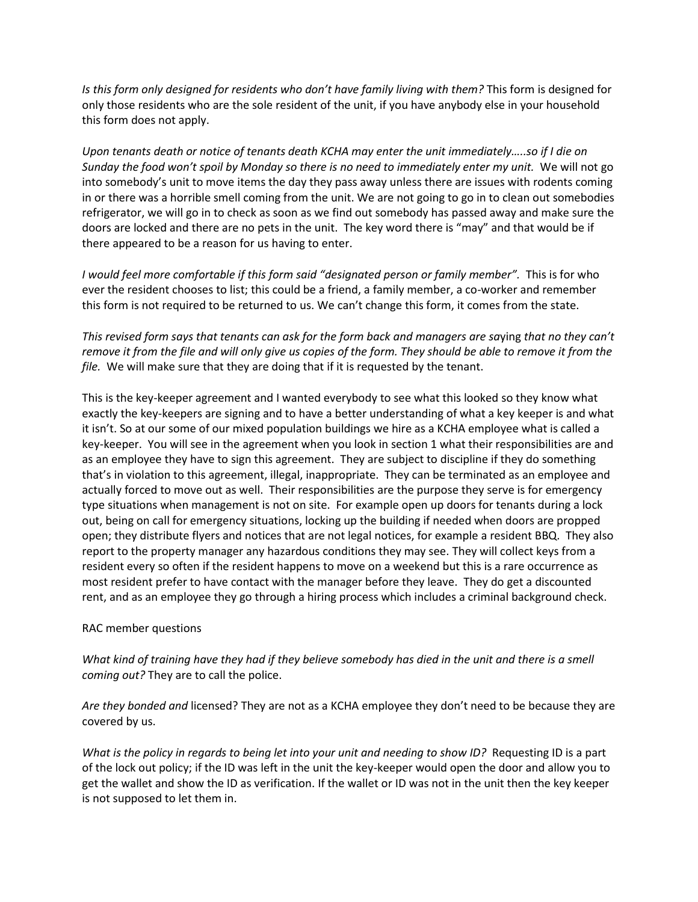*Is this form only designed for residents who don't have family living with them?* This form is designed for only those residents who are the sole resident of the unit, if you have anybody else in your household this form does not apply.

*Upon tenants death or notice of tenants death KCHA may enter the unit immediately…..so if I die on Sunday the food won't spoil by Monday so there is no need to immediately enter my unit.* We will not go into somebody's unit to move items the day they pass away unless there are issues with rodents coming in or there was a horrible smell coming from the unit. We are not going to go in to clean out somebodies refrigerator, we will go in to check as soon as we find out somebody has passed away and make sure the doors are locked and there are no pets in the unit. The key word there is "may" and that would be if there appeared to be a reason for us having to enter.

*I* would feel more comfortable if this form said "designated person or family member". This is for who ever the resident chooses to list; this could be a friend, a family member, a co-worker and remember this form is not required to be returned to us. We can't change this form, it comes from the state.

*This revised form says that tenants can ask for the form back and managers are sa*ying *that no they can't remove it from the file and will only give us copies of the form. They should be able to remove it from the file.* We will make sure that they are doing that if it is requested by the tenant.

This is the key-keeper agreement and I wanted everybody to see what this looked so they know what exactly the key-keepers are signing and to have a better understanding of what a key keeper is and what it isn't. So at our some of our mixed population buildings we hire as a KCHA employee what is called a key-keeper. You will see in the agreement when you look in section 1 what their responsibilities are and as an employee they have to sign this agreement. They are subject to discipline if they do something that's in violation to this agreement, illegal, inappropriate. They can be terminated as an employee and actually forced to move out as well. Their responsibilities are the purpose they serve is for emergency type situations when management is not on site. For example open up doors for tenants during a lock out, being on call for emergency situations, locking up the building if needed when doors are propped open; they distribute flyers and notices that are not legal notices, for example a resident BBQ. They also report to the property manager any hazardous conditions they may see. They will collect keys from a resident every so often if the resident happens to move on a weekend but this is a rare occurrence as most resident prefer to have contact with the manager before they leave. They do get a discounted rent, and as an employee they go through a hiring process which includes a criminal background check.

#### RAC member questions

*What kind of training have they had if they believe somebody has died in the unit and there is a smell coming out?* They are to call the police.

*Are they bonded and* licensed? They are not as a KCHA employee they don't need to be because they are covered by us.

*What is the policy in regards to being let into your unit and needing to show ID?* Requesting ID is a part of the lock out policy; if the ID was left in the unit the key-keeper would open the door and allow you to get the wallet and show the ID as verification. If the wallet or ID was not in the unit then the key keeper is not supposed to let them in.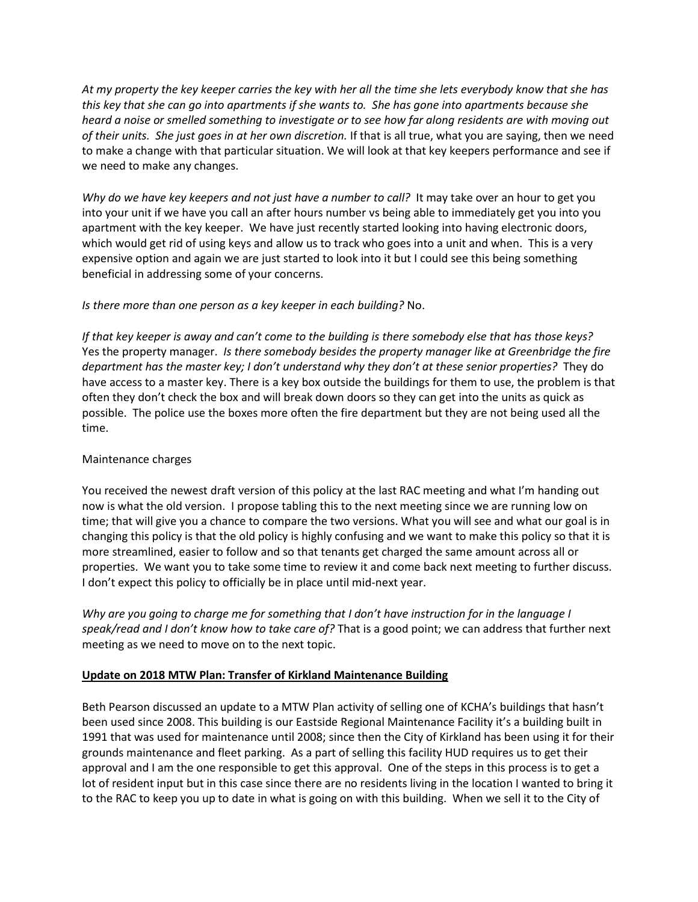*At my property the key keeper carries the key with her all the time she lets everybody know that she has this key that she can go into apartments if she wants to. She has gone into apartments because she heard a noise or smelled something to investigate or to see how far along residents are with moving out of their units. She just goes in at her own discretion.* If that is all true, what you are saying, then we need to make a change with that particular situation. We will look at that key keepers performance and see if we need to make any changes.

*Why do we have key keepers and not just have a number to call?* It may take over an hour to get you into your unit if we have you call an after hours number vs being able to immediately get you into you apartment with the key keeper. We have just recently started looking into having electronic doors, which would get rid of using keys and allow us to track who goes into a unit and when. This is a very expensive option and again we are just started to look into it but I could see this being something beneficial in addressing some of your concerns.

## *Is there more than one person as a key keeper in each building?* No.

*If that key keeper is away and can't come to the building is there somebody else that has those keys?* Yes the property manager. *Is there somebody besides the property manager like at Greenbridge the fire department has the master key; I don't understand why they don't at these senior properties?* They do have access to a master key. There is a key box outside the buildings for them to use, the problem is that often they don't check the box and will break down doors so they can get into the units as quick as possible. The police use the boxes more often the fire department but they are not being used all the time.

## Maintenance charges

You received the newest draft version of this policy at the last RAC meeting and what I'm handing out now is what the old version. I propose tabling this to the next meeting since we are running low on time; that will give you a chance to compare the two versions. What you will see and what our goal is in changing this policy is that the old policy is highly confusing and we want to make this policy so that it is more streamlined, easier to follow and so that tenants get charged the same amount across all or properties. We want you to take some time to review it and come back next meeting to further discuss. I don't expect this policy to officially be in place until mid-next year.

*Why are you going to charge me for something that I don't have instruction for in the language I speak/read and I don't know how to take care of?* That is a good point; we can address that further next meeting as we need to move on to the next topic.

## **Update on 2018 MTW Plan: Transfer of Kirkland Maintenance Building**

Beth Pearson discussed an update to a MTW Plan activity of selling one of KCHA's buildings that hasn't been used since 2008. This building is our Eastside Regional Maintenance Facility it's a building built in 1991 that was used for maintenance until 2008; since then the City of Kirkland has been using it for their grounds maintenance and fleet parking. As a part of selling this facility HUD requires us to get their approval and I am the one responsible to get this approval. One of the steps in this process is to get a lot of resident input but in this case since there are no residents living in the location I wanted to bring it to the RAC to keep you up to date in what is going on with this building. When we sell it to the City of